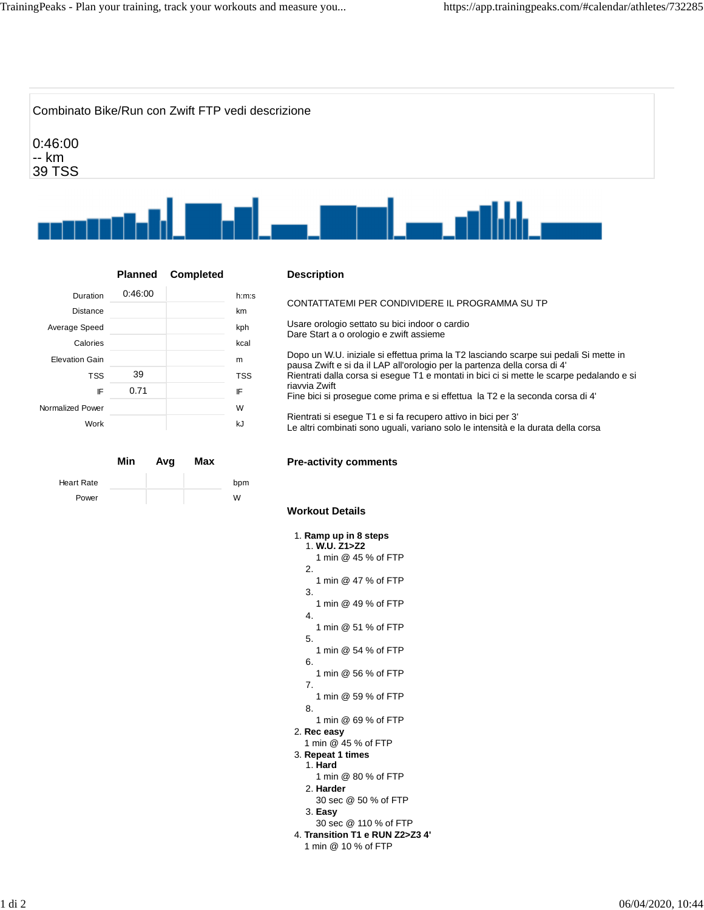

## **Planned Completed**

| Duration              | 0.46:00 | h:m:s      |
|-----------------------|---------|------------|
| <b>Distance</b>       |         | km         |
| Average Speed         |         | kph        |
| Calories              |         | kcal       |
| <b>Elevation Gain</b> |         | m          |
| <b>TSS</b>            | 39      | <b>TSS</b> |
| IF                    | 0.71    | IF         |
| Normalized Power      |         | W          |
| Work                  |         | kJ         |

|                   | Min | Avg | Max |     |
|-------------------|-----|-----|-----|-----|
| <b>Heart Rate</b> |     |     |     | bpm |
| Power             |     |     |     | W   |

## **Description**

CONTATTATEMI PER CONDIVIDERE IL PROGRAMMA SU TP

Usare orologio settato su bici indoor o cardio Dare Start a o orologio e zwift assieme

Dopo un W.U. iniziale si effettua prima la T2 lasciando scarpe sui pedali Si mette in pausa Zwift e si da il LAP all'orologio per la partenza della corsa di 4' Rientrati dalla corsa si esegue T1 e montati in bici ci si mette le scarpe pedalando e si riavvia Zwift

Fine bici si prosegue come prima e si effettua la T2 e la seconda corsa di 4'

Rientrati si esegue T1 e si fa recupero attivo in bici per 3' Le altri combinati sono uguali, variano solo le intensità e la durata della corsa

## **Pre-activity comments**

## **Workout Details**

| 1. Ramp up in 8 steps<br>1. W.U. Z1>Z2 |
|----------------------------------------|
| 1 min @ 45 % of FTP                    |
| 2.                                     |
| 1 min @ 47 % of FTP                    |
| 3.<br>1 min @ 49 % of FTP              |
| 4.                                     |
| 1 min @ 51 % of FTP                    |
| 5.                                     |
| 1 min @ 54 % of FTP<br>6.              |
| 1 min @ 56 % of FTP                    |
| 7.                                     |
| 1 min @ 59 % of FTP                    |
| 8.<br>1 min @ 69 % of FTP              |
| 2. Rec easy                            |
| 1 min @ 45 % of FTP                    |
| 3. Repeat 1 times                      |
| 1. Hard                                |
| 1 min @ 80 % of FTP                    |
| 2. Harder                              |
| 30 sec @ 50 % of FTP                   |
| 3. Easy                                |
| 30 sec @ 110 % of FTP                  |
| 4. Transition T1 e RUN Z2>Z3 4'        |
| 1 min @ 10 % of FTP                    |